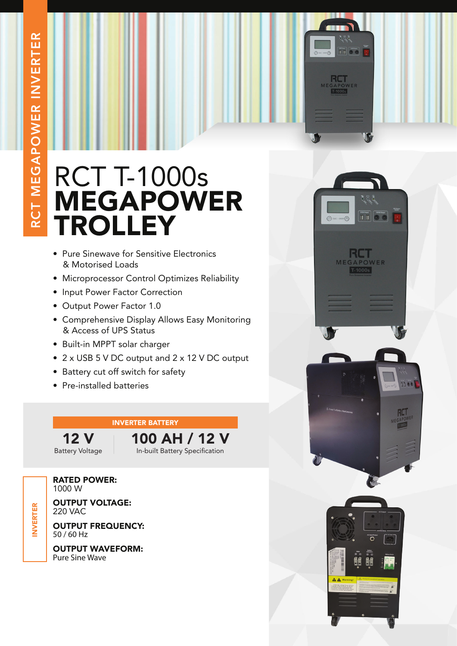## RCT T-1000s MEGAPOWER TROLLEY

- Pure Sinewave for Sensitive Electronics & Motorised Loads
- Microprocessor Control Optimizes Reliability
- Input Power Factor Correction
- Output Power Factor 1.0
- Comprehensive Display Allows Easy Monitoring & Access of UPS Status
- Built-in MPPT solar charger
- 2 x USB 5 V DC output and 2 x 12 V DC output
- Battery cut off switch for safety
- Pre-installed batteries

## INVERTER BATTERY

12 V Battery Voltage 100 AH / 12 V In-built Battery Specification

RATED POWER: 1000 W

OUTPUT VOLTAGE: 220 VAC

OUTPUT FREQUENCY: 50 / 60 Hz

OUTPUT WAVEFORM: Pure Sine Wave